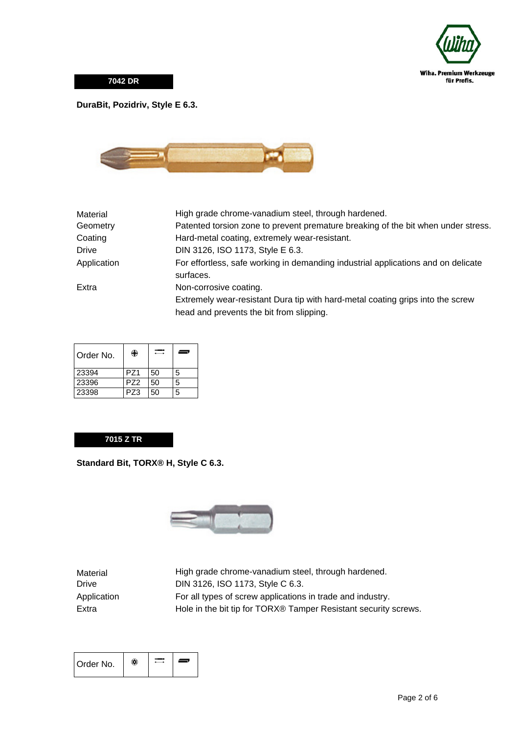

**7042 DR**

## **DuraBit, Pozidriv, Style E 6.3.**



| Material     | High grade chrome-vanadium steel, through hardened.                               |
|--------------|-----------------------------------------------------------------------------------|
| Geometry     | Patented torsion zone to prevent premature breaking of the bit when under stress. |
| Coating      | Hard-metal coating, extremely wear-resistant.                                     |
| <b>Drive</b> | DIN 3126, ISO 1173, Style E 6.3.                                                  |
| Application  | For effortless, safe working in demanding industrial applications and on delicate |
|              | surfaces.                                                                         |
| Extra        | Non-corrosive coating.                                                            |
|              | Extremely wear-resistant Dura tip with hard-metal coating grips into the screw    |
|              | head and prevents the bit from slipping.                                          |
|              |                                                                                   |

| Order No. | ₩               |    | ═┑ |
|-----------|-----------------|----|----|
| 23394     | PZ1             | 50 | 5  |
| 23396     | PZ <sub>2</sub> | 50 | 5  |
| 23398     | PZ3             | 50 | 5  |

## **7015 Z TR**

**Standard Bit, TORX® H, Style C 6.3.**



Material High grade chrome-vanadium steel, through hardened. DIN 3126, ISO 1173, Style C 6.3. Application For all types of screw applications in trade and industry. Extra **Hole in the bit tip for TORX®** Tamper Resistant security screws.